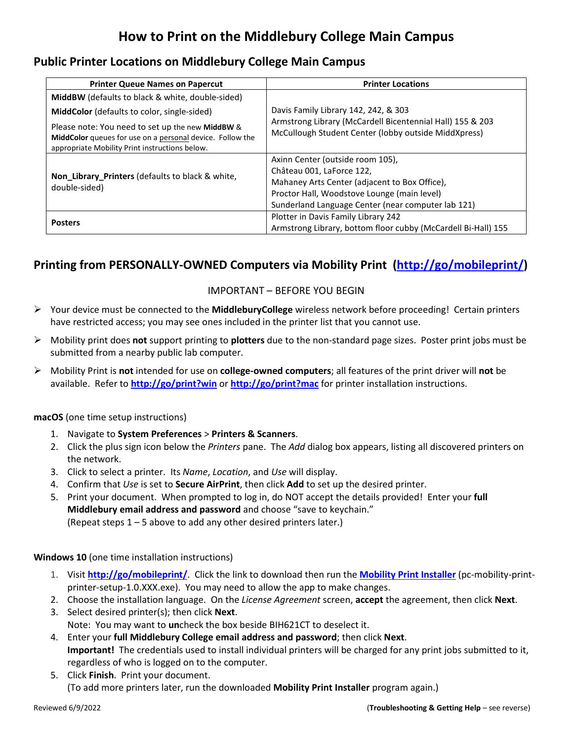# **How to Print on the Middlebury College Main Campus**

### **Public Printer Locations on Middlebury College Main Campus**

| <b>Printer Queue Names on Papercut</b>                                                                                                                          | <b>Printer Locations</b>                                                                                                                                                                                            |
|-----------------------------------------------------------------------------------------------------------------------------------------------------------------|---------------------------------------------------------------------------------------------------------------------------------------------------------------------------------------------------------------------|
| <b>MiddBW</b> (defaults to black & white, double-sided)                                                                                                         | Davis Family Library 142, 242, & 303<br>Armstrong Library (McCardell Bicentennial Hall) 155 & 203<br>McCullough Student Center (lobby outside MiddXpress)                                                           |
| MiddColor (defaults to color, single-sided)                                                                                                                     |                                                                                                                                                                                                                     |
| Please note: You need to set up the new MiddBW &<br>MiddColor queues for use on a personal device. Follow the<br>appropriate Mobility Print instructions below. |                                                                                                                                                                                                                     |
| Non_Library_Printers (defaults to black & white,<br>double-sided)                                                                                               | Axinn Center (outside room 105),<br>Château 001, LaForce 122,<br>Mahaney Arts Center (adjacent to Box Office),<br>Proctor Hall, Woodstove Lounge (main level)<br>Sunderland Language Center (near computer lab 121) |
| <b>Posters</b>                                                                                                                                                  | Plotter in Davis Family Library 242<br>Armstrong Library, bottom floor cubby (McCardell Bi-Hall) 155                                                                                                                |

# **Printing from PERSONALLY-OWNED Computers via Mobility Print [\(http://go/mobileprint/\)](http://go.middlebury.edu/mobileprint)**

#### IMPORTANT – BEFORE YOU BEGIN

- Your device must be connected to the **MiddleburyCollege** wireless network before proceeding! Certain printers have restricted access; you may see ones included in the printer list that you cannot use.
- Mobility print does **not** support printing to **plotters** due to the non-standard page sizes. Poster print jobs must be submitted from a nearby public lab computer.
- Mobility Print is **not** intended for use on **college-owned computers**; all features of the print driver will **not** be available. Refer to **<http://go/print?win>** or **<http://go/print?mac>** for printer installation instructions.

#### **macOS** (one time setup instructions)

- 1. Navigate to **System Preferences** > **Printers & Scanners**.
- 2. Click the plus sign icon below the *Printers* pane. The *Add* dialog box appears, listing all discovered printers on the network.
- 3. Click to select a printer. Its *Name*, *Location*, and *Use* will display.
- 4. Confirm that *Use* is set to **Secure AirPrint**, then click **Add** to set up the desired printer.
- 5. Print your document. When prompted to log in, do NOT accept the details provided! Enter your **full Middlebury email address and password** and choose "save to keychain." (Repeat steps 1 – 5 above to add any other desired printers later.)

#### **Windows 10** (one time installation instructions)

- 1. Visit **[http://go/mobileprint/](http://go.middlebury.edu/mobileprint)**. Click the link to download then run the **[Mobility Print Installer](http://papercut.com/products/ng/mobility-print/download/client/windows/)** (pc-mobility-printprinter-setup-1.0.XXX.exe). You may need to allow the app to make changes.
- 2. Choose the installation language. On the *License Agreement* screen, **accept** the agreement, then click **Next**.
- 3. Select desired printer(s); then click **Next**. Note: You may want to **un**check the box beside BIH621CT to deselect it.
- 4. Enter your **full Middlebury College email address and password**; then click **Next**. **Important!** The credentials used to install individual printers will be charged for any print jobs submitted to it, regardless of who is logged on to the computer.
- 5. Click **Finish**. Print your document. (To add more printers later, run the downloaded **Mobility Print Installer** program again.)